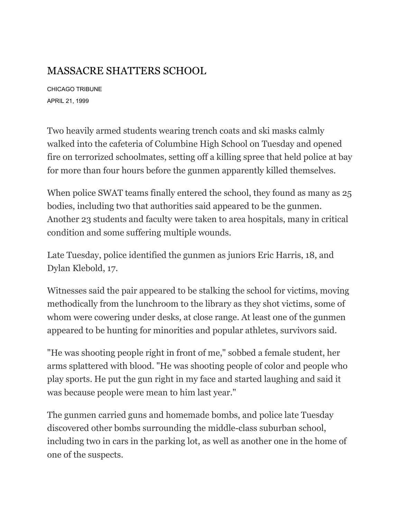## MASSACRE SHATTERS SCHOOL

CHICAGO TRIBUNE APRIL 21, 1999

Two heavily armed students wearing trench coats and ski masks calmly walked into the cafeteria of Columbine High School on Tuesday and opened fire on terrorized schoolmates, setting off a killing spree that held police at bay for more than four hours before the gunmen apparently killed themselves.

When police SWAT teams finally entered the school, they found as many as  $25$ bodies, including two that authorities said appeared to be the gunmen. Another 23 students and faculty were taken to area hospitals, many in critical condition and some suffering multiple wounds.

Late Tuesday, police identified the gunmen as juniors Eric Harris, 18, and Dylan Klebold, 17.

Witnesses said the pair appeared to be stalking the school for victims, moving methodically from the lunchroom to the library as they shot victims, some of whom were cowering under desks, at close range. At least one of the gunmen appeared to be hunting for minorities and popular athletes, survivors said.

"He was shooting people right in front of me," sobbed a female student, her arms splattered with blood. "He was shooting people of color and people who play sports. He put the gun right in my face and started laughing and said it was because people were mean to him last year."

The gunmen carried guns and homemade bombs, and police late Tuesday discovered other bombs surrounding the middle-class suburban school, including two in cars in the parking lot, as well as another one in the home of one of the suspects.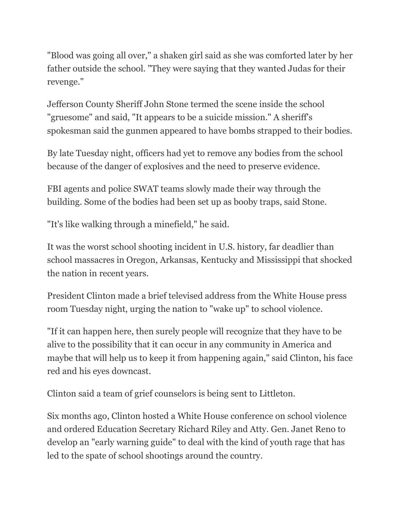"Blood was going all over," a shaken girl said as she was comforted later by her father outside the school. "They were saying that they wanted Judas for their revenge."

Jefferson County Sheriff John Stone termed the scene inside the school "gruesome" and said, "It appears to be a suicide mission." A sheriff's spokesman said the gunmen appeared to have bombs strapped to their bodies.

By late Tuesday night, officers had yet to remove any bodies from the school because of the danger of explosives and the need to preserve evidence.

FBI agents and police SWAT teams slowly made their way through the building. Some of the bodies had been set up as booby traps, said Stone.

"It's like walking through a minefield," he said.

It was the worst school shooting incident in U.S. history, far deadlier than school massacres in Oregon, Arkansas, Kentucky and Mississippi that shocked the nation in recent years.

President Clinton made a brief televised address from the White House press room Tuesday night, urging the nation to "wake up" to school violence.

"If it can happen here, then surely people will recognize that they have to be alive to the possibility that it can occur in any community in America and maybe that will help us to keep it from happening again," said Clinton, his face red and his eyes downcast.

Clinton said a team of grief counselors is being sent to Littleton.

Six months ago, Clinton hosted a White House conference on school violence and ordered Education Secretary Richard Riley and Atty. Gen. Janet Reno to develop an "early warning guide" to deal with the kind of youth rage that has led to the spate of school shootings around the country.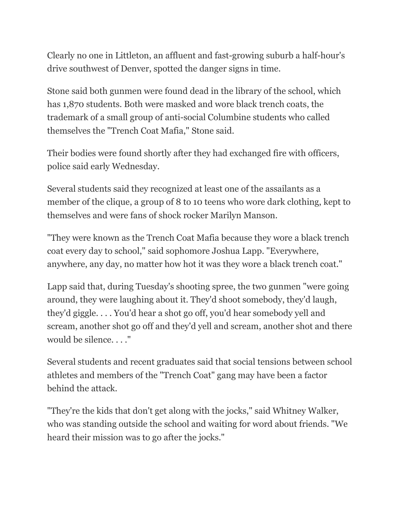Clearly no one in Littleton, an affluent and fast-growing suburb a half-hour's drive southwest of Denver, spotted the danger signs in time.

Stone said both gunmen were found dead in the library of the school, which has 1,870 students. Both were masked and wore black trench coats, the trademark of a small group of anti-social Columbine students who called themselves the "Trench Coat Mafia," Stone said.

Their bodies were found shortly after they had exchanged fire with officers, police said early Wednesday.

Several students said they recognized at least one of the assailants as a member of the clique, a group of 8 to 10 teens who wore dark clothing, kept to themselves and were fans of shock rocker Marilyn Manson.

"They were known as the Trench Coat Mafia because they wore a black trench coat every day to school," said sophomore Joshua Lapp. "Everywhere, anywhere, any day, no matter how hot it was they wore a black trench coat."

Lapp said that, during Tuesday's shooting spree, the two gunmen "were going around, they were laughing about it. They'd shoot somebody, they'd laugh, they'd giggle. . . . You'd hear a shot go off, you'd hear somebody yell and scream, another shot go off and they'd yell and scream, another shot and there would be silence. . . ."

Several students and recent graduates said that social tensions between school athletes and members of the "Trench Coat" gang may have been a factor behind the attack.

"They're the kids that don't get along with the jocks," said Whitney Walker, who was standing outside the school and waiting for word about friends. "We heard their mission was to go after the jocks."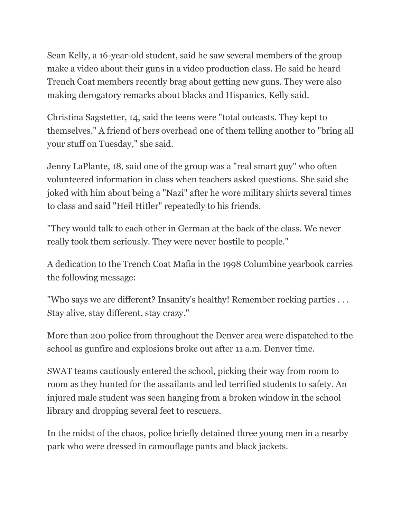Sean Kelly, a 16-year-old student, said he saw several members of the group make a video about their guns in a video production class. He said he heard Trench Coat members recently brag about getting new guns. They were also making derogatory remarks about blacks and Hispanics, Kelly said.

Christina Sagstetter, 14, said the teens were "total outcasts. They kept to themselves." A friend of hers overhead one of them telling another to "bring all your stuff on Tuesday," she said.

Jenny LaPlante, 18, said one of the group was a "real smart guy" who often volunteered information in class when teachers asked questions. She said she joked with him about being a "Nazi" after he wore military shirts several times to class and said "Heil Hitler" repeatedly to his friends.

"They would talk to each other in German at the back of the class. We never really took them seriously. They were never hostile to people."

A dedication to the Trench Coat Mafia in the 1998 Columbine yearbook carries the following message:

"Who says we are different? Insanity's healthy! Remember rocking parties . . . Stay alive, stay different, stay crazy."

More than 200 police from throughout the Denver area were dispatched to the school as gunfire and explosions broke out after 11 a.m. Denver time.

SWAT teams cautiously entered the school, picking their way from room to room as they hunted for the assailants and led terrified students to safety. An injured male student was seen hanging from a broken window in the school library and dropping several feet to rescuers.

In the midst of the chaos, police briefly detained three young men in a nearby park who were dressed in camouflage pants and black jackets.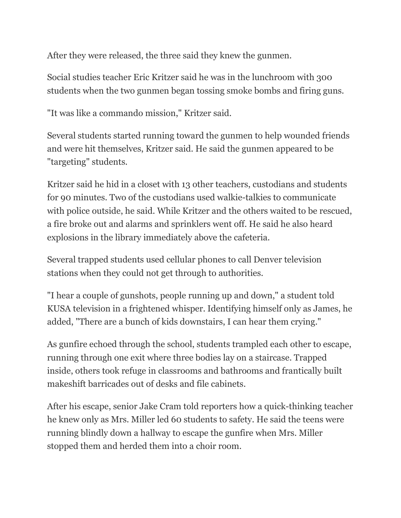After they were released, the three said they knew the gunmen.

Social studies teacher Eric Kritzer said he was in the lunchroom with 300 students when the two gunmen began tossing smoke bombs and firing guns.

"It was like a commando mission," Kritzer said.

Several students started running toward the gunmen to help wounded friends and were hit themselves, Kritzer said. He said the gunmen appeared to be "targeting" students.

Kritzer said he hid in a closet with 13 other teachers, custodians and students for 90 minutes. Two of the custodians used walkie-talkies to communicate with police outside, he said. While Kritzer and the others waited to be rescued, a fire broke out and alarms and sprinklers went off. He said he also heard explosions in the library immediately above the cafeteria.

Several trapped students used cellular phones to call Denver television stations when they could not get through to authorities.

"I hear a couple of gunshots, people running up and down," a student told KUSA television in a frightened whisper. Identifying himself only as James, he added, "There are a bunch of kids downstairs, I can hear them crying."

As gunfire echoed through the school, students trampled each other to escape, running through one exit where three bodies lay on a staircase. Trapped inside, others took refuge in classrooms and bathrooms and frantically built makeshift barricades out of desks and file cabinets.

After his escape, senior Jake Cram told reporters how a quick-thinking teacher he knew only as Mrs. Miller led 60 students to safety. He said the teens were running blindly down a hallway to escape the gunfire when Mrs. Miller stopped them and herded them into a choir room.